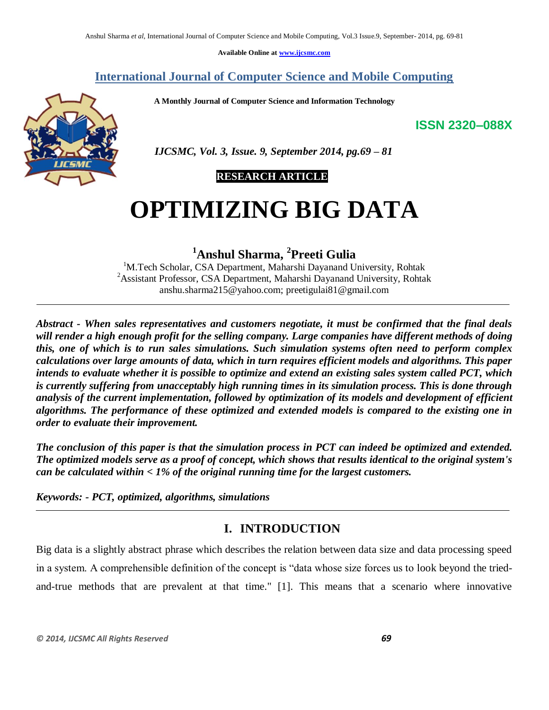**Available Online at [www.ijcsmc.com](http://www.ijcsmc.com/)**

# **International Journal of Computer Science and Mobile Computing**

 **A Monthly Journal of Computer Science and Information Technology**

**ISSN 2320–088X**



 *IJCSMC, Vol. 3, Issue. 9, September 2014, pg.69 – 81*

# **RESEARCH ARTICLE**

# **OPTIMIZING BIG DATA**

**<sup>1</sup>Anshul Sharma, <sup>2</sup> Preeti Gulia**

<sup>1</sup>M.Tech Scholar, CSA Department, Maharshi Dayanand University, Rohtak <sup>2</sup> Assistant Professor, CSA Department, Maharshi Dayanand University, Rohtak anshu.sharma215@yahoo.com; preetigulai81@gmail.com

*Abstract - When sales representatives and customers negotiate, it must be confirmed that the final deals will render a high enough profit for the selling company. Large companies have different methods of doing this, one of which is to run sales simulations. Such simulation systems often need to perform complex calculations over large amounts of data, which in turn requires efficient models and algorithms. This paper intends to evaluate whether it is possible to optimize and extend an existing sales system called PCT, which is currently suffering from unacceptably high running times in its simulation process. This is done through analysis of the current implementation, followed by optimization of its models and development of efficient algorithms. The performance of these optimized and extended models is compared to the existing one in order to evaluate their improvement.*

*The conclusion of this paper is that the simulation process in PCT can indeed be optimized and extended. The optimized models serve as a proof of concept, which shows that results identical to the original system's can be calculated within < 1% of the original running time for the largest customers.*

*Keywords: - PCT, optimized, algorithms, simulations*

# **I. INTRODUCTION**

Big data is a slightly abstract phrase which describes the relation between data size and data processing speed in a system. A comprehensible definition of the concept is "data whose size forces us to look beyond the triedand-true methods that are prevalent at that time." [1]. This means that a scenario where innovative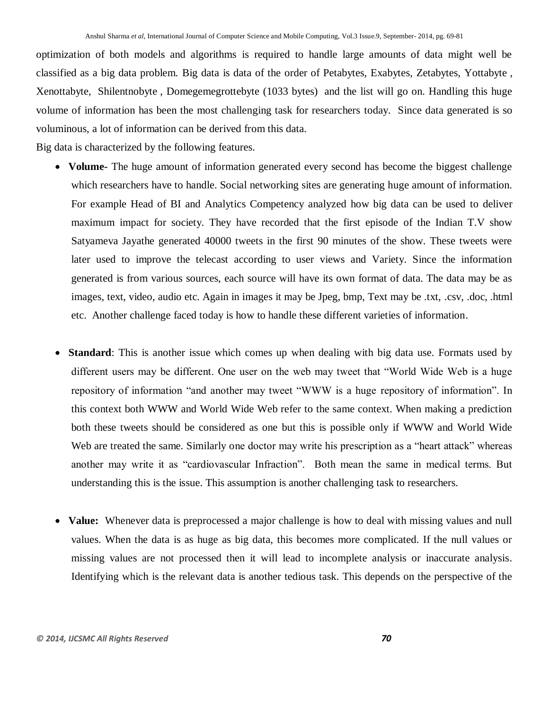optimization of both models and algorithms is required to handle large amounts of data might well be classified as a big data problem. Big data is data of the order of Petabytes, Exabytes, Zetabytes, Yottabyte , Xenottabyte, Shilentnobyte , Domegemegrottebyte (1033 bytes) and the list will go on. Handling this huge volume of information has been the most challenging task for researchers today. Since data generated is so voluminous, a lot of information can be derived from this data.

Big data is characterized by the following features.

- **Volume-** The huge amount of information generated every second has become the biggest challenge which researchers have to handle. Social networking sites are generating huge amount of information. For example Head of BI and Analytics Competency analyzed how big data can be used to deliver maximum impact for society. They have recorded that the first episode of the Indian T.V show Satyameva Jayathe generated 40000 tweets in the first 90 minutes of the show. These tweets were later used to improve the telecast according to user views and Variety. Since the information generated is from various sources, each source will have its own format of data. The data may be as images, text, video, audio etc. Again in images it may be Jpeg, bmp, Text may be .txt, .csv, .doc, .html etc. Another challenge faced today is how to handle these different varieties of information.
- **Standard**: This is another issue which comes up when dealing with big data use. Formats used by different users may be different. One user on the web may tweet that "World Wide Web is a huge repository of information "and another may tweet "WWW is a huge repository of information". In this context both WWW and World Wide Web refer to the same context. When making a prediction both these tweets should be considered as one but this is possible only if WWW and World Wide Web are treated the same. Similarly one doctor may write his prescription as a "heart attack" whereas another may write it as "cardiovascular Infraction". Both mean the same in medical terms. But understanding this is the issue. This assumption is another challenging task to researchers.
- **Value:** Whenever data is preprocessed a major challenge is how to deal with missing values and null values. When the data is as huge as big data, this becomes more complicated. If the null values or missing values are not processed then it will lead to incomplete analysis or inaccurate analysis. Identifying which is the relevant data is another tedious task. This depends on the perspective of the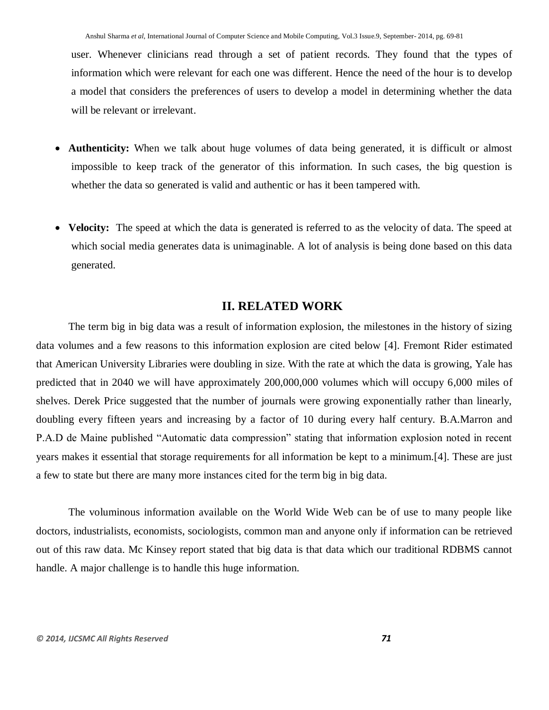user. Whenever clinicians read through a set of patient records. They found that the types of information which were relevant for each one was different. Hence the need of the hour is to develop a model that considers the preferences of users to develop a model in determining whether the data will be relevant or irrelevant.

- **Authenticity:** When we talk about huge volumes of data being generated, it is difficult or almost impossible to keep track of the generator of this information. In such cases, the big question is whether the data so generated is valid and authentic or has it been tampered with.
- **Velocity:** The speed at which the data is generated is referred to as the velocity of data. The speed at which social media generates data is unimaginable. A lot of analysis is being done based on this data generated.

## **II. RELATED WORK**

The term big in big data was a result of information explosion, the milestones in the history of sizing data volumes and a few reasons to this information explosion are cited below [4]. Fremont Rider estimated that American University Libraries were doubling in size. With the rate at which the data is growing, Yale has predicted that in 2040 we will have approximately 200,000,000 volumes which will occupy 6,000 miles of shelves. Derek Price suggested that the number of journals were growing exponentially rather than linearly, doubling every fifteen years and increasing by a factor of 10 during every half century. B.A.Marron and P.A.D de Maine published "Automatic data compression" stating that information explosion noted in recent years makes it essential that storage requirements for all information be kept to a minimum.[4]. These are just a few to state but there are many more instances cited for the term big in big data.

The voluminous information available on the World Wide Web can be of use to many people like doctors, industrialists, economists, sociologists, common man and anyone only if information can be retrieved out of this raw data. Mc Kinsey report stated that big data is that data which our traditional RDBMS cannot handle. A major challenge is to handle this huge information.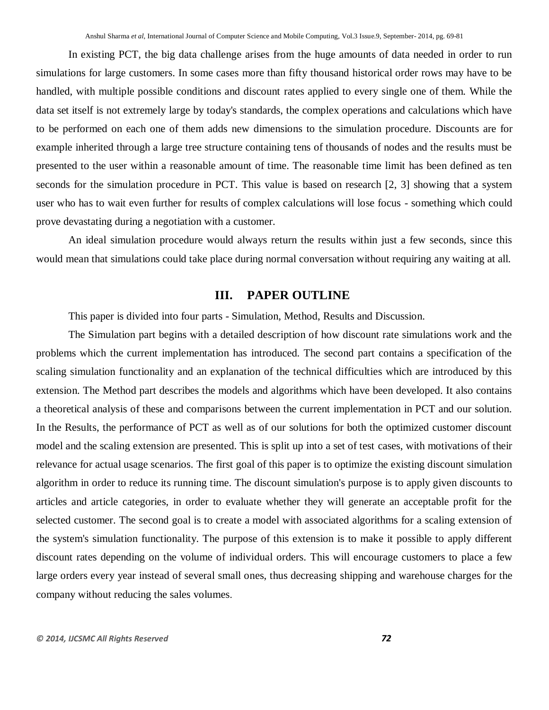In existing PCT, the big data challenge arises from the huge amounts of data needed in order to run simulations for large customers. In some cases more than fifty thousand historical order rows may have to be handled, with multiple possible conditions and discount rates applied to every single one of them. While the data set itself is not extremely large by today's standards, the complex operations and calculations which have to be performed on each one of them adds new dimensions to the simulation procedure. Discounts are for example inherited through a large tree structure containing tens of thousands of nodes and the results must be presented to the user within a reasonable amount of time. The reasonable time limit has been defined as ten seconds for the simulation procedure in PCT. This value is based on research [2, 3] showing that a system user who has to wait even further for results of complex calculations will lose focus - something which could prove devastating during a negotiation with a customer.

An ideal simulation procedure would always return the results within just a few seconds, since this would mean that simulations could take place during normal conversation without requiring any waiting at all.

# **III. PAPER OUTLINE**

This paper is divided into four parts - Simulation, Method, Results and Discussion.

The Simulation part begins with a detailed description of how discount rate simulations work and the problems which the current implementation has introduced. The second part contains a specification of the scaling simulation functionality and an explanation of the technical difficulties which are introduced by this extension. The Method part describes the models and algorithms which have been developed. It also contains a theoretical analysis of these and comparisons between the current implementation in PCT and our solution. In the Results, the performance of PCT as well as of our solutions for both the optimized customer discount model and the scaling extension are presented. This is split up into a set of test cases, with motivations of their relevance for actual usage scenarios. The first goal of this paper is to optimize the existing discount simulation algorithm in order to reduce its running time. The discount simulation's purpose is to apply given discounts to articles and article categories, in order to evaluate whether they will generate an acceptable profit for the selected customer. The second goal is to create a model with associated algorithms for a scaling extension of the system's simulation functionality. The purpose of this extension is to make it possible to apply different discount rates depending on the volume of individual orders. This will encourage customers to place a few large orders every year instead of several small ones, thus decreasing shipping and warehouse charges for the company without reducing the sales volumes.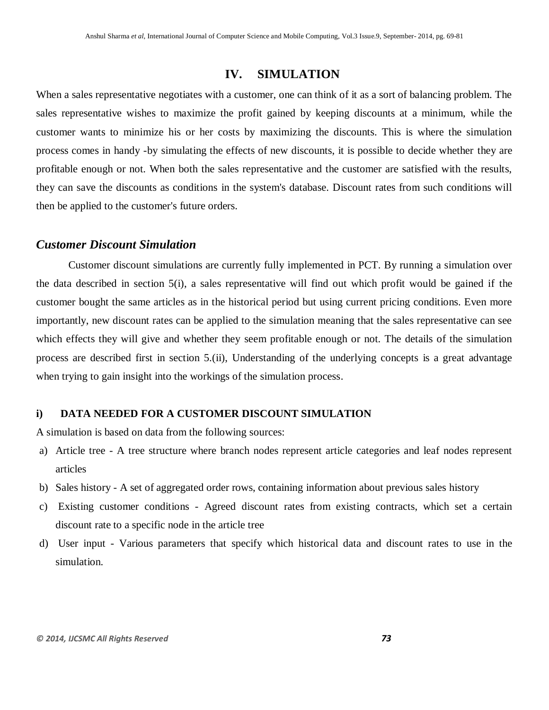## **IV. SIMULATION**

When a sales representative negotiates with a customer, one can think of it as a sort of balancing problem. The sales representative wishes to maximize the profit gained by keeping discounts at a minimum, while the customer wants to minimize his or her costs by maximizing the discounts. This is where the simulation process comes in handy -by simulating the effects of new discounts, it is possible to decide whether they are profitable enough or not. When both the sales representative and the customer are satisfied with the results, they can save the discounts as conditions in the system's database. Discount rates from such conditions will then be applied to the customer's future orders.

#### *Customer Discount Simulation*

Customer discount simulations are currently fully implemented in PCT. By running a simulation over the data described in section 5(i), a sales representative will find out which profit would be gained if the customer bought the same articles as in the historical period but using current pricing conditions. Even more importantly, new discount rates can be applied to the simulation meaning that the sales representative can see which effects they will give and whether they seem profitable enough or not. The details of the simulation process are described first in section 5.(ii), Understanding of the underlying concepts is a great advantage when trying to gain insight into the workings of the simulation process.

#### **i) DATA NEEDED FOR A CUSTOMER DISCOUNT SIMULATION**

A simulation is based on data from the following sources:

- a) Article tree A tree structure where branch nodes represent article categories and leaf nodes represent articles
- b) Sales history A set of aggregated order rows, containing information about previous sales history
- c) Existing customer conditions Agreed discount rates from existing contracts, which set a certain discount rate to a specific node in the article tree
- d) User input Various parameters that specify which historical data and discount rates to use in the simulation.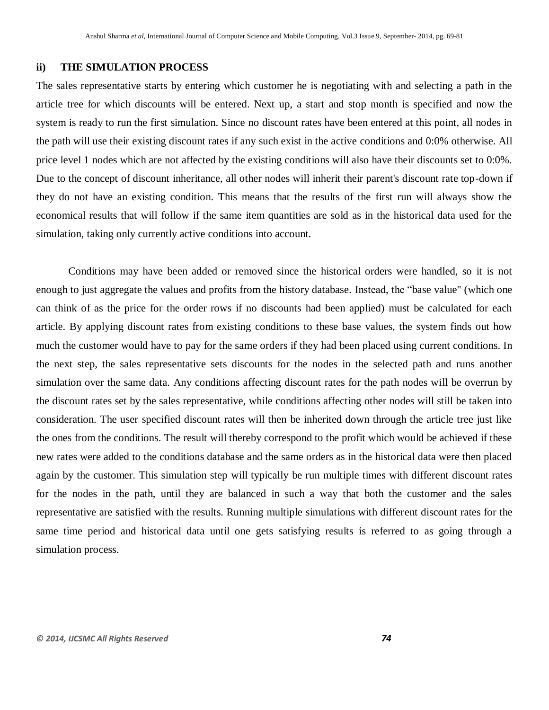#### **ii) THE SIMULATION PROCESS**

The sales representative starts by entering which customer he is negotiating with and selecting a path in the article tree for which discounts will be entered. Next up, a start and stop month is specified and now the system is ready to run the first simulation. Since no discount rates have been entered at this point, all nodes in the path will use their existing discount rates if any such exist in the active conditions and 0:0% otherwise. All price level 1 nodes which are not affected by the existing conditions will also have their discounts set to 0:0%. Due to the concept of discount inheritance, all other nodes will inherit their parent's discount rate top-down if they do not have an existing condition. This means that the results of the first run will always show the economical results that will follow if the same item quantities are sold as in the historical data used for the simulation, taking only currently active conditions into account.

Conditions may have been added or removed since the historical orders were handled, so it is not enough to just aggregate the values and profits from the history database. Instead, the "base value" (which one can think of as the price for the order rows if no discounts had been applied) must be calculated for each article. By applying discount rates from existing conditions to these base values, the system finds out how much the customer would have to pay for the same orders if they had been placed using current conditions. In the next step, the sales representative sets discounts for the nodes in the selected path and runs another simulation over the same data. Any conditions affecting discount rates for the path nodes will be overrun by the discount rates set by the sales representative, while conditions affecting other nodes will still be taken into consideration. The user specified discount rates will then be inherited down through the article tree just like the ones from the conditions. The result will thereby correspond to the profit which would be achieved if these new rates were added to the conditions database and the same orders as in the historical data were then placed again by the customer. This simulation step will typically be run multiple times with different discount rates for the nodes in the path, until they are balanced in such a way that both the customer and the sales representative are satisfied with the results. Running multiple simulations with different discount rates for the same time period and historical data until one gets satisfying results is referred to as going through a simulation process.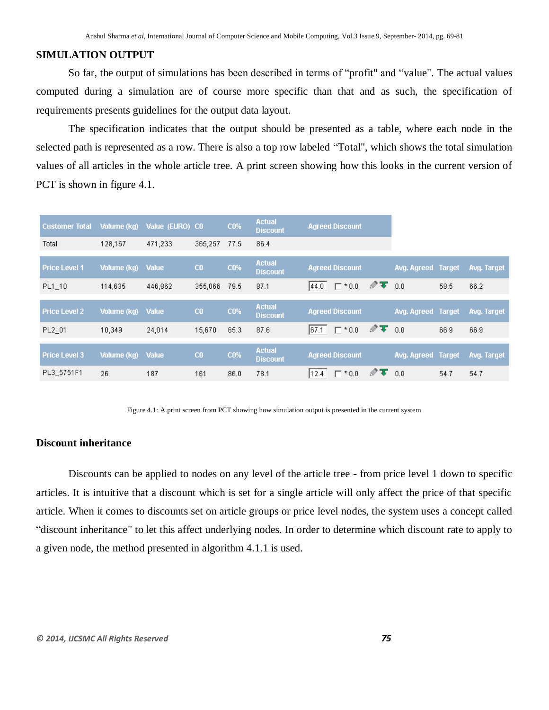#### **SIMULATION OUTPUT**

So far, the output of simulations has been described in terms of "profit" and "value". The actual values computed during a simulation are of course more specific than that and as such, the specification of requirements presents guidelines for the output data layout.

The specification indicates that the output should be presented as a table, where each node in the selected path is represented as a row. There is also a top row labeled "Total", which shows the total simulation values of all articles in the whole article tree. A print screen showing how this looks in the current version of PCT is shown in figure 4.1.

| <b>Customer Total</b> | Volume (kg)        | Value (EURO) CO |                | <b>CO%</b> | <b>Actual</b><br><b>Discount</b> | <b>Agreed Discount</b>  |                                           |                           |      |             |
|-----------------------|--------------------|-----------------|----------------|------------|----------------------------------|-------------------------|-------------------------------------------|---------------------------|------|-------------|
| Total                 | 128,167            | 471,233         | 365,257        | 77.5       | 86.4                             |                         |                                           |                           |      |             |
| <b>Price Level 1</b>  | Volume (kg)        | <b>Value</b>    | C <sub>0</sub> | <b>CO%</b> | <b>Actual</b><br><b>Discount</b> | <b>Agreed Discount</b>  |                                           | Avg. Agreed Target        |      | Avg. Target |
| PL1 10                | 114,635            | 446,862         | 355,066        | 79.5       | 87.1                             | $\Gamma$ * 0.0<br>144.0 | $\mathscr{D}$ $\mathbf{F}$ 0.0            |                           | 58.5 | 66.2        |
|                       |                    |                 |                |            |                                  |                         |                                           |                           |      |             |
| <b>Price Level 2</b>  | <b>Volume</b> (kg) | <b>Value</b>    | C <sub>0</sub> | <b>CO%</b> | <b>Actual</b><br><b>Discount</b> | <b>Agreed Discount</b>  |                                           | <b>Avg. Agreed Target</b> |      | Avg. Target |
| PL2 01                | 10,349             | 24,014          | 15,670         | 65.3       | 87.6                             | $\Box$ $*$ 0.0<br> 67.1 | $\mathscr{D}$ $\mathbf{\overline{V}}$ 0.0 |                           | 66.9 | 66.9        |
|                       |                    |                 |                |            |                                  |                         |                                           |                           |      |             |
| <b>Price Level 3</b>  | Volume (kg)        | <b>Value</b>    | C <sub>0</sub> | <b>CO%</b> | <b>Actual</b><br><b>Discount</b> | <b>Agreed Discount</b>  |                                           | <b>Avg. Agreed Target</b> |      | Avg. Target |
| PL3 5751F1            | 26                 | 187             | 161            | 86.0       | 78.1                             | $\Gamma$ * 0.0<br>12.4  | $\mathscr{D}$ $\mathbf{T}$                | 0.0                       | 54.7 | 54.7        |

Figure 4.1: A print screen from PCT showing how simulation output is presented in the current system

## **Discount inheritance**

Discounts can be applied to nodes on any level of the article tree - from price level 1 down to specific articles. It is intuitive that a discount which is set for a single article will only affect the price of that specific article. When it comes to discounts set on article groups or price level nodes, the system uses a concept called "discount inheritance" to let this affect underlying nodes. In order to determine which discount rate to apply to a given node, the method presented in algorithm 4.1.1 is used.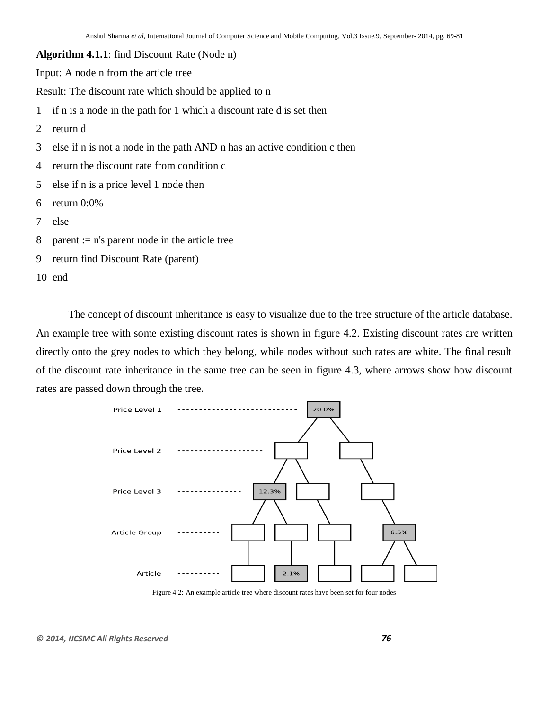**Algorithm 4.1.1**: find Discount Rate (Node n)

Input: A node n from the article tree

Result: The discount rate which should be applied to n

- 1 if n is a node in the path for 1 which a discount rate d is set then
- 2 return d
- 3 else if n is not a node in the path AND n has an active condition c then
- 4 return the discount rate from condition c
- 5 else if n is a price level 1 node then
- 6 return 0:0%
- 7 else
- 8 parent :=  $n's$  parent node in the article tree
- 9 return find Discount Rate (parent)

10 end

The concept of discount inheritance is easy to visualize due to the tree structure of the article database. An example tree with some existing discount rates is shown in figure 4.2. Existing discount rates are written directly onto the grey nodes to which they belong, while nodes without such rates are white. The final result of the discount rate inheritance in the same tree can be seen in figure 4.3, where arrows show how discount rates are passed down through the tree.



Figure 4.2: An example article tree where discount rates have been set for four nodes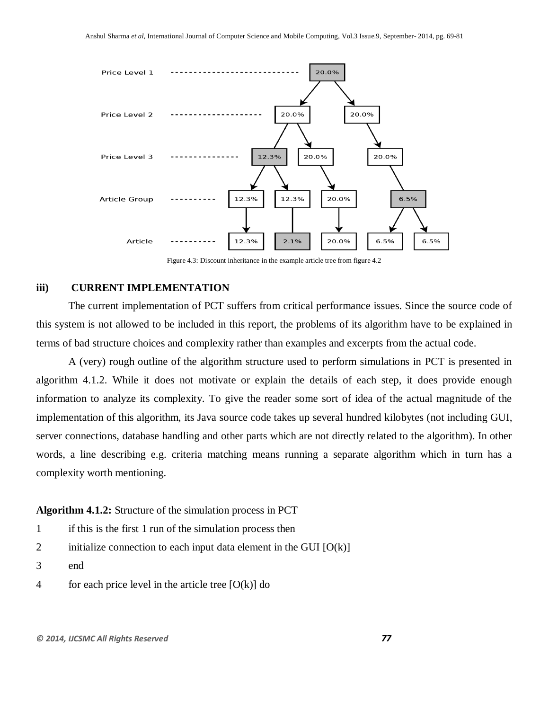

Figure 4.3: Discount inheritance in the example article tree from figure 4.2

#### **iii) CURRENT IMPLEMENTATION**

The current implementation of PCT suffers from critical performance issues. Since the source code of this system is not allowed to be included in this report, the problems of its algorithm have to be explained in terms of bad structure choices and complexity rather than examples and excerpts from the actual code.

A (very) rough outline of the algorithm structure used to perform simulations in PCT is presented in algorithm 4.1.2. While it does not motivate or explain the details of each step, it does provide enough information to analyze its complexity. To give the reader some sort of idea of the actual magnitude of the implementation of this algorithm, its Java source code takes up several hundred kilobytes (not including GUI, server connections, database handling and other parts which are not directly related to the algorithm). In other words, a line describing e.g. criteria matching means running a separate algorithm which in turn has a complexity worth mentioning.

#### **Algorithm 4.1.2:** Structure of the simulation process in PCT

- 1 if this is the first 1 run of the simulation process then
- 2 initialize connection to each input data element in the GUI  $[O(k)]$
- 3 end
- 4 for each price level in the article tree  $[O(k)]$  do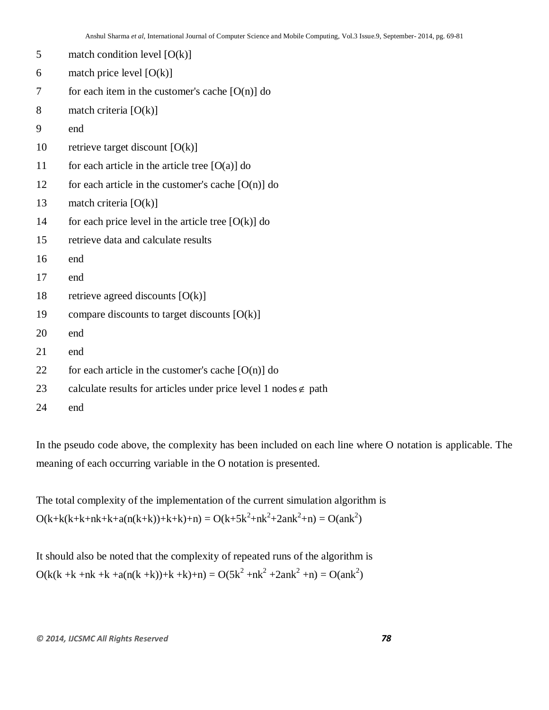| 5  | match condition level $[O(k)]$                                         |
|----|------------------------------------------------------------------------|
| 6  | match price level $[O(k)]$                                             |
| 7  | for each item in the customer's cache $[O(n)]$ do                      |
| 8  | match criteria $[O(k)]$                                                |
| 9  | end                                                                    |
| 10 | retrieve target discount $[O(k)]$                                      |
| 11 | for each article in the article tree $[O(a)]$ do                       |
| 12 | for each article in the customer's cache $[O(n)]$ do                   |
| 13 | match criteria $[O(k)]$                                                |
| 14 | for each price level in the article tree $[O(k)]$ do                   |
| 15 | retrieve data and calculate results                                    |
| 16 | end                                                                    |
| 17 | end                                                                    |
| 18 | retrieve agreed discounts $[O(k)]$                                     |
| 19 | compare discounts to target discounts $[O(k)]$                         |
| 20 | end                                                                    |
| 21 | end                                                                    |
| 22 | for each article in the customer's cache $[O(n)]$ do                   |
| 23 | calculate results for articles under price level 1 nodes $\notin$ path |
| 24 | end                                                                    |

In the pseudo code above, the complexity has been included on each line where O notation is applicable. The meaning of each occurring variable in the O notation is presented.

The total complexity of the implementation of the current simulation algorithm is  $O(k+k(k+k+nk+k+a(n(k+k))+k+k)+n) = O(k+5k^2+nk^2+2ank^2+n) = O(ank^2)$ 

It should also be noted that the complexity of repeated runs of the algorithm is  $O(k(k + k + nk + k + a(n(k + k)) + k + k) + n) = O(5k^2 + nk^2 + 2ank^2 + n) = O(ank^2)$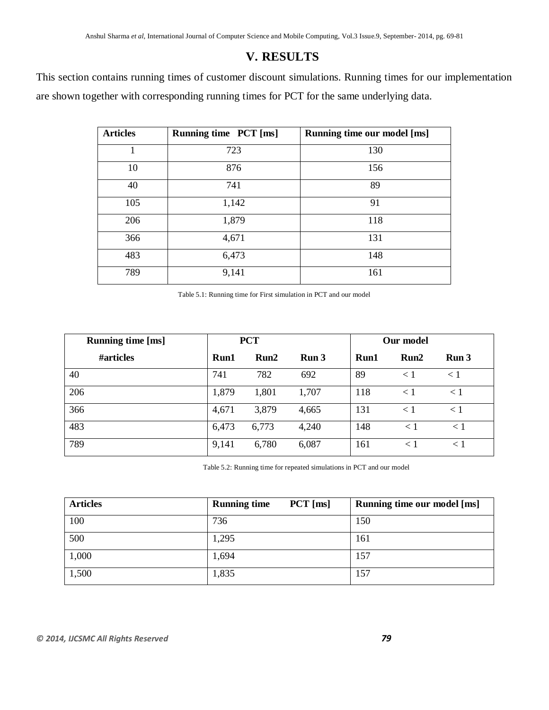# **V. RESULTS**

This section contains running times of customer discount simulations. Running times for our implementation are shown together with corresponding running times for PCT for the same underlying data.

| <b>Articles</b> | Running time PCT [ms] | Running time our model [ms] |  |  |
|-----------------|-----------------------|-----------------------------|--|--|
| 1               | 723                   | 130                         |  |  |
| 10              | 876                   | 156                         |  |  |
| 40              | 741                   | 89                          |  |  |
| 105             | 1,142                 | 91                          |  |  |
| 206             | 1,879                 | 118                         |  |  |
| 366             | 4,671                 | 131                         |  |  |
| 483             | 6,473                 | 148                         |  |  |
| 789             | 9,141                 | 161                         |  |  |

Table 5.1: Running time for First simulation in PCT and our model

| <b>Running time [ms]</b> |       | <b>PCT</b> |       | Our model |         |                  |
|--------------------------|-------|------------|-------|-----------|---------|------------------|
| #articles                | Run1  | Run2       | Run 3 | Run1      | Run2    | Run <sub>3</sub> |
| 40                       | 741   | 782        | 692   | 89        | < 1     | < 1              |
| 206                      | 1,879 | 1,801      | 1,707 | 118       | < 1     | < 1              |
| 366                      | 4,671 | 3,879      | 4,665 | 131       | < 1     | < 1              |
| 483                      | 6,473 | 6,773      | 4,240 | 148       | $\lt 1$ | $\leq 1$         |
| 789                      | 9,141 | 6,780      | 6,087 | 161       | < 1     | < 1              |

Table 5.2: Running time for repeated simulations in PCT and our model

| <b>Articles</b> | $PCT$ [ms]<br><b>Running time</b> | Running time our model [ms] |
|-----------------|-----------------------------------|-----------------------------|
| 100             | 736                               | 150                         |
| 500             | 1,295                             | 161                         |
| 1,000           | 1,694                             | 157                         |
| 1,500           | 1,835                             | 157                         |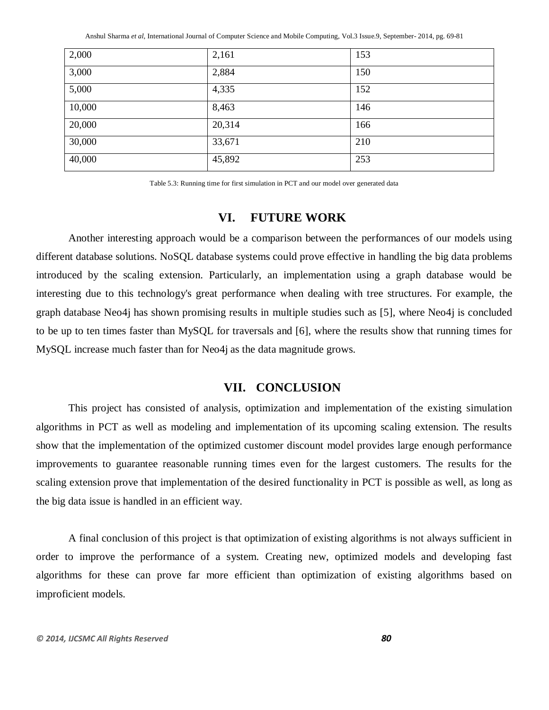Anshul Sharma *et al*, International Journal of Computer Science and Mobile Computing, Vol.3 Issue.9, September- 2014, pg. 69-81

| 2,000  | 2,161  | 153 |
|--------|--------|-----|
| 3,000  | 2,884  | 150 |
| 5,000  | 4,335  | 152 |
| 10,000 | 8,463  | 146 |
| 20,000 | 20,314 | 166 |
| 30,000 | 33,671 | 210 |
| 40,000 | 45,892 | 253 |

Table 5.3: Running time for first simulation in PCT and our model over generated data

## **VI. FUTURE WORK**

Another interesting approach would be a comparison between the performances of our models using different database solutions. NoSQL database systems could prove effective in handling the big data problems introduced by the scaling extension. Particularly, an implementation using a graph database would be interesting due to this technology's great performance when dealing with tree structures. For example, the graph database Neo4j has shown promising results in multiple studies such as [5], where Neo4j is concluded to be up to ten times faster than MySQL for traversals and [6], where the results show that running times for MySQL increase much faster than for Neo4j as the data magnitude grows.

## **VII. CONCLUSION**

This project has consisted of analysis, optimization and implementation of the existing simulation algorithms in PCT as well as modeling and implementation of its upcoming scaling extension. The results show that the implementation of the optimized customer discount model provides large enough performance improvements to guarantee reasonable running times even for the largest customers. The results for the scaling extension prove that implementation of the desired functionality in PCT is possible as well, as long as the big data issue is handled in an efficient way.

A final conclusion of this project is that optimization of existing algorithms is not always sufficient in order to improve the performance of a system. Creating new, optimized models and developing fast algorithms for these can prove far more efficient than optimization of existing algorithms based on improficient models.